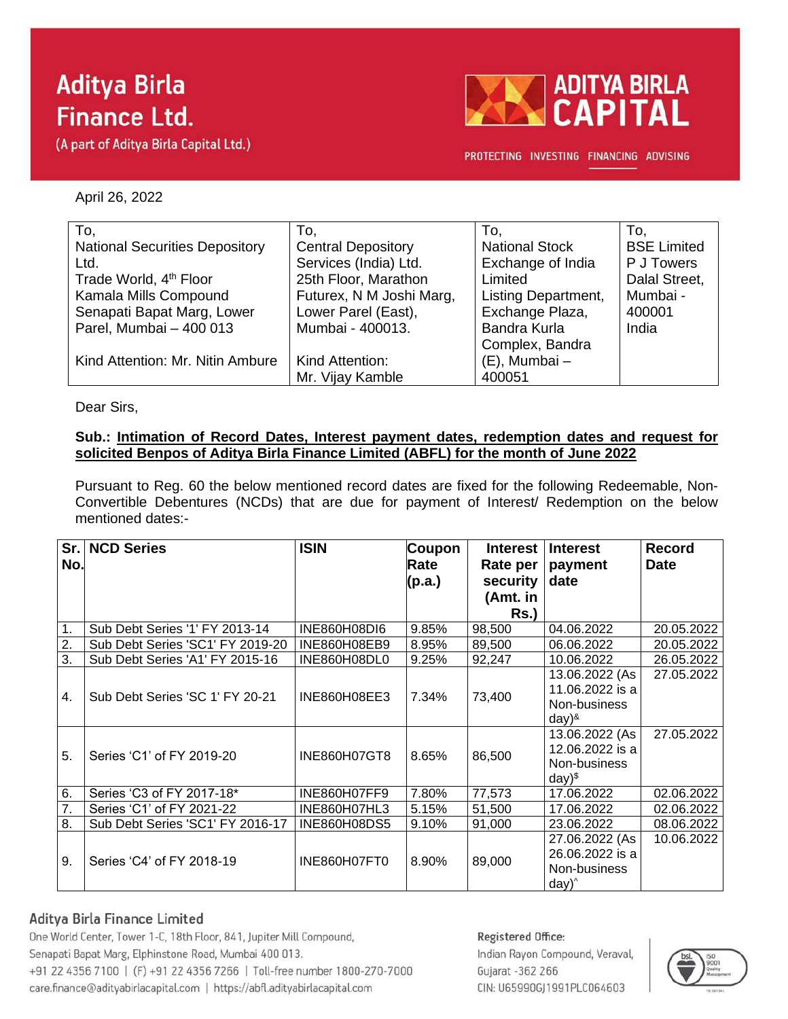# **Aditya Birla Finance Ltd.**

(A part of Aditya Birla Capital Ltd.)



PROTECTING INVESTING FINANCING ADVISING

April 26, 2022

| To,                                   | To.                       | To,                        | To.                |
|---------------------------------------|---------------------------|----------------------------|--------------------|
| <b>National Securities Depository</b> | <b>Central Depository</b> | <b>National Stock</b>      | <b>BSE Limited</b> |
| Ltd.                                  | Services (India) Ltd.     | Exchange of India          | P J Towers         |
| Trade World, 4 <sup>th</sup> Floor    | 25th Floor, Marathon      | Limited                    | Dalal Street,      |
| Kamala Mills Compound                 | Futurex, N M Joshi Marg,  | <b>Listing Department,</b> | Mumbai -           |
| Senapati Bapat Marg, Lower            | Lower Parel (East),       | Exchange Plaza,            | 400001             |
| Parel, Mumbai - 400 013               | Mumbai - 400013.          | Bandra Kurla               | India              |
|                                       |                           | Complex, Bandra            |                    |
| Kind Attention: Mr. Nitin Ambure      | Kind Attention:           | $(E)$ , Mumbai -           |                    |
|                                       | Mr. Vijay Kamble          | 400051                     |                    |

Dear Sirs,

### **Sub.: Intimation of Record Dates, Interest payment dates, redemption dates and request for solicited Benpos of Aditya Birla Finance Limited (ABFL) for the month of June 2022**

Pursuant to Reg. 60 the below mentioned record dates are fixed for the following Redeemable, Non-Convertible Debentures (NCDs) that are due for payment of Interest/ Redemption on the below mentioned dates:-

| Sr. I<br>No. | <b>NCD Series</b>                | <b>ISIN</b>         | <b>Coupon</b><br>Rate<br>(p.a.) | <b>Interest</b><br>Rate per<br>security<br>(Amt. in | <b>Interest</b><br>payment<br>date                                   | <b>Record</b><br><b>Date</b> |
|--------------|----------------------------------|---------------------|---------------------------------|-----------------------------------------------------|----------------------------------------------------------------------|------------------------------|
|              |                                  |                     |                                 | $Rs.$ )                                             |                                                                      |                              |
| 1.           | Sub Debt Series '1' FY 2013-14   | <b>INE860H08DI6</b> | 9.85%                           | 98,500                                              | 04.06.2022                                                           | 20.05.2022                   |
| 2.           | Sub Debt Series 'SC1' FY 2019-20 | INE860H08EB9        | 8.95%                           | 89,500                                              | 06.06.2022                                                           | 20.05.2022                   |
| 3.           | Sub Debt Series 'A1' FY 2015-16  | INE860H08DL0        | 9.25%                           | 92,247                                              | 10.06.2022                                                           | 26.05.2022                   |
| 4.           | Sub Debt Series 'SC 1' FY 20-21  | INE860H08EE3        | 7.34%                           | 73,400                                              | 13.06.2022 (As<br>11.06.2022 is a<br>Non-business<br>$day)^{8}$      | 27.05.2022                   |
| 5.           | Series 'C1' of FY 2019-20        | <b>INE860H07GT8</b> | 8.65%                           | 86,500                                              | 13.06.2022 (As<br>12.06.2022 is a<br>Non-business<br>day)            | 27.05.2022                   |
| 6.           | Series 'C3 of FY 2017-18*        | <b>INE860H07FF9</b> | 7.80%                           | 77,573                                              | 17.06.2022                                                           | 02.06.2022                   |
| 7.           | Series 'C1' of FY 2021-22        | INE860H07HL3        | 5.15%                           | 51,500                                              | 17.06.2022                                                           | 02.06.2022                   |
| 8.           | Sub Debt Series 'SC1' FY 2016-17 | INE860H08DS5        | 9.10%                           | 91,000                                              | 23.06.2022                                                           | 08.06.2022                   |
| 9.           | Series 'C4' of FY 2018-19        | INE860H07FT0        | 8.90%                           | 89,000                                              | 27.06.2022 (As<br>26.06.2022 is a<br>Non-business<br>$day)^{\wedge}$ | 10.06.2022                   |

## Aditya Birla Finance Limited

One World Center, Tower 1-C, 18th Floor, 841, Jupiter Mill Compound, Senapati Bapat Marg, Elphinstone Road, Mumbai 400 013. +91 22 4356 7100 | (F) +91 22 4356 7266 | Toll-free number 1800-270-7000 care.finance@adityabirlacapital.com | https://abfl.adityabirlacapital.com

#### Registered Office:

Indian Rayon Compound, Veraval, Gujarat - 362 266 CIN: U65990GJ1991PLC064603